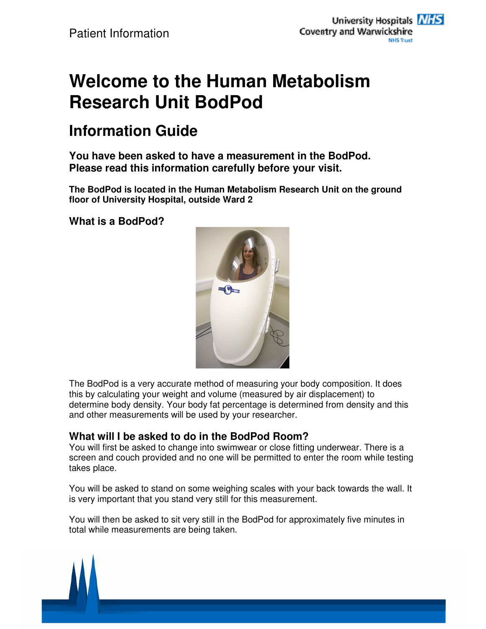# **Welcome to the Human Metabolism Research Unit BodPod**

## **Information Guide**

**You have been asked to have a measurement in the BodPod. Please read this information carefully before your visit.** 

**The BodPod is located in the Human Metabolism Research Unit on the ground floor of University Hospital, outside Ward 2** 

**What is a BodPod?** 



The BodPod is a very accurate method of measuring your body composition. It does this by calculating your weight and volume (measured by air displacement) to determine body density. Your body fat percentage is determined from density and this and other measurements will be used by your researcher.

### **What will I be asked to do in the BodPod Room?**

You will first be asked to change into swimwear or close fitting underwear. There is a screen and couch provided and no one will be permitted to enter the room while testing takes place.

You will be asked to stand on some weighing scales with your back towards the wall. It is very important that you stand very still for this measurement.

You will then be asked to sit very still in the BodPod for approximately five minutes in total while measurements are being taken.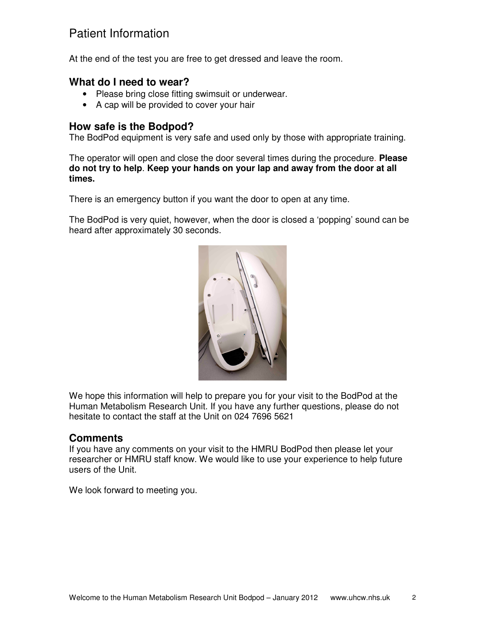## Patient Information

At the end of the test you are free to get dressed and leave the room.

#### **What do I need to wear?**

- Please bring close fitting swimsuit or underwear.
- A cap will be provided to cover your hair

#### **How safe is the Bodpod?**

The BodPod equipment is very safe and used only by those with appropriate training.

The operator will open and close the door several times during the procedure. **Please do not try to help**. **Keep your hands on your lap and away from the door at all times.** 

There is an emergency button if you want the door to open at any time.

The BodPod is very quiet, however, when the door is closed a 'popping' sound can be heard after approximately 30 seconds.



We hope this information will help to prepare you for your visit to the BodPod at the Human Metabolism Research Unit. If you have any further questions, please do not hesitate to contact the staff at the Unit on 024 7696 5621

#### **Comments**

If you have any comments on your visit to the HMRU BodPod then please let your researcher or HMRU staff know. We would like to use your experience to help future users of the Unit.

We look forward to meeting you.